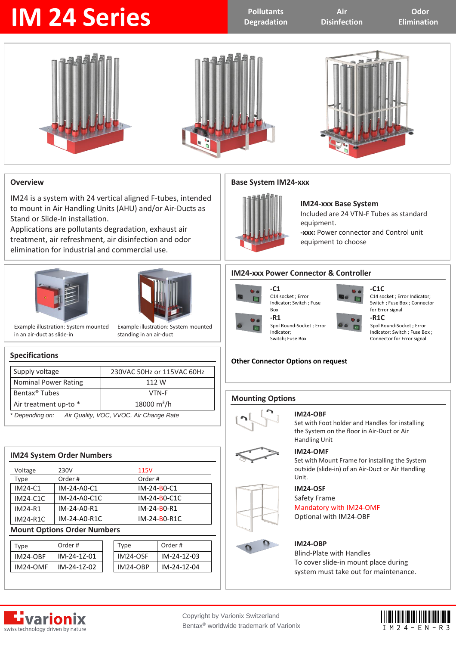# **IM 24 Series Pollutants Pollutants**

**Degradation**

**Air Disinfection**

**Odor Elimination**







#### **Overview**

IM24 is a system with 24 vertical aligned F-tubes, intended to mount in Air Handling Units (AHU) and/or Air-Ducts as Stand or Slide-In installation.

Applications are pollutants degradation, exhaust air treatment, air refreshment, air disinfection and odor elimination for industrial and commercial use.





Example illustration: System mounted in an air-duct as slide-in

Example illustration: System mounted standing in an air-duct

#### **Specifications**

| Supply voltage                                             | 230VAC 50Hz or 115VAC 60Hz |  |
|------------------------------------------------------------|----------------------------|--|
| <b>Nominal Power Rating</b>                                | 112 W                      |  |
| Bentax <sup>®</sup> Tubes                                  | VTN-F                      |  |
| Air treatment up-to *                                      | 18000 $m^3/h$              |  |
| Air Quality, VOC, VVOC, Air Change Rate<br>* Depending on: |                            |  |

| <b>IM24 System Order Numbers</b> |                                    |              |
|----------------------------------|------------------------------------|--------------|
| Voltage                          | 230V                               | 115V         |
| Type                             | Order#                             | Order#       |
| IM24-C1                          | IM-24-A0-C1                        | IM-24-B0-C1  |
| <b>IM24-C1C</b>                  | IM-24-A0-C1C                       | IM-24-B0-C1C |
| IM24-R1                          | IM-24-A0-R1                        | IM-24-B0-R1  |
| <b>IM24-R1C</b>                  | IM-24-A0-R1C                       | IM-24-B0-R1C |
|                                  | <b>Mount Options Order Numbers</b> |              |

### Type Order # Type Order # IM24-OBF IM-24-1Z-01 IM24-OSF IM-24-1Z-03 IM24-OMF IM-24-1Z-02 IM24-OBP IM-24-1Z-04

#### **Base System IM24-xxx**



**-C1** 

Box

**-R1** 

Indicator; Switch; Fuse Box

#### **IM24-xxx Base System** Included are 24 VTN-F Tubes as standard equipment. **-xxx:** Power connector and Control unit equipment to choose

#### **IM24-xxx Power Connector & Controller**

3pol Round-Socket ; Error

### C14 socket ; Error





C14 socket ; Error Indicator; Switch ; Fuse Box ; Connector for Error signal

**-R1C**  3pol Round-Socket ; Error Indicator; Switch ; Fuse Box ; Connector for Error signal

#### **Other Connector Options on request**

#### **Mounting Options**





Set with Foot holder and Handles for installing the System on the floor in Air-Duct or Air Handling Unit

#### **IM24-OMF**

Set with Mount Frame for installing the System outside (slide-in) of an Air-Duct or Air Handling Unit.

#### **IM24-OSF**

#### Safety Frame

Mandatory with IM24-OMF

Optional with IM24-OBF

#### **IM24-OBP**

Blind-Plate with Handles To cover slide-in mount place during system must take out for maintenance.